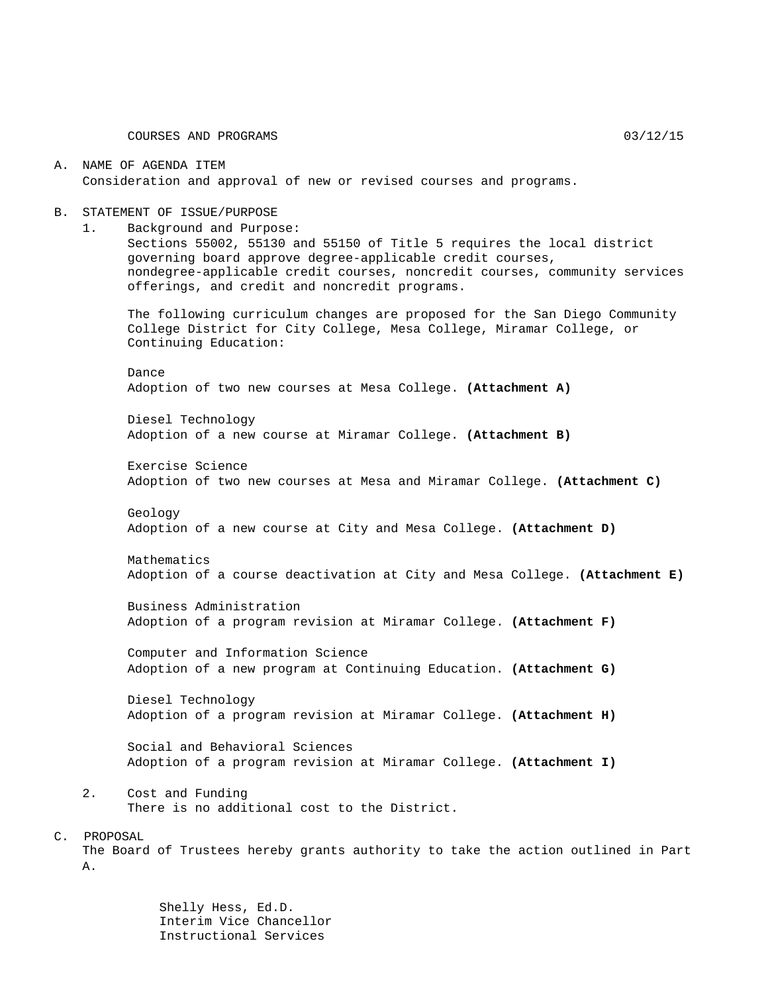#### A. NAME OF AGENDA ITEM Consideration and approval of new or revised courses and programs.

#### B. STATEMENT OF ISSUE/PURPOSE

1. Background and Purpose: Sections 55002, 55130 and 55150 of Title 5 requires the local district governing board approve degree-applicable credit courses, nondegree-applicable credit courses, noncredit courses, community services offerings, and credit and noncredit programs.

The following curriculum changes are proposed for the San Diego Community College District for City College, Mesa College, Miramar College, or Continuing Education:

Dance Adoption of two new courses at Mesa College. **(Attachment A)**

Diesel Technology Adoption of a new course at Miramar College. **(Attachment B)**

Exercise Science Adoption of two new courses at Mesa and Miramar College. **(Attachment C)**

Geology Adoption of a new course at City and Mesa College. **(Attachment D)**

Mathematics Adoption of a course deactivation at City and Mesa College. **(Attachment E)**

Business Administration Adoption of a program revision at Miramar College. **(Attachment F)**

Computer and Information Science Adoption of a new program at Continuing Education. **(Attachment G)**

Diesel Technology Adoption of a program revision at Miramar College. **(Attachment H)**

Social and Behavioral Sciences Adoption of a program revision at Miramar College. **(Attachment I)**

2. Cost and Funding There is no additional cost to the District.

#### C. PROPOSAL

The Board of Trustees hereby grants authority to take the action outlined in Part A.

> Shelly Hess, Ed.D. Interim Vice Chancellor Instructional Services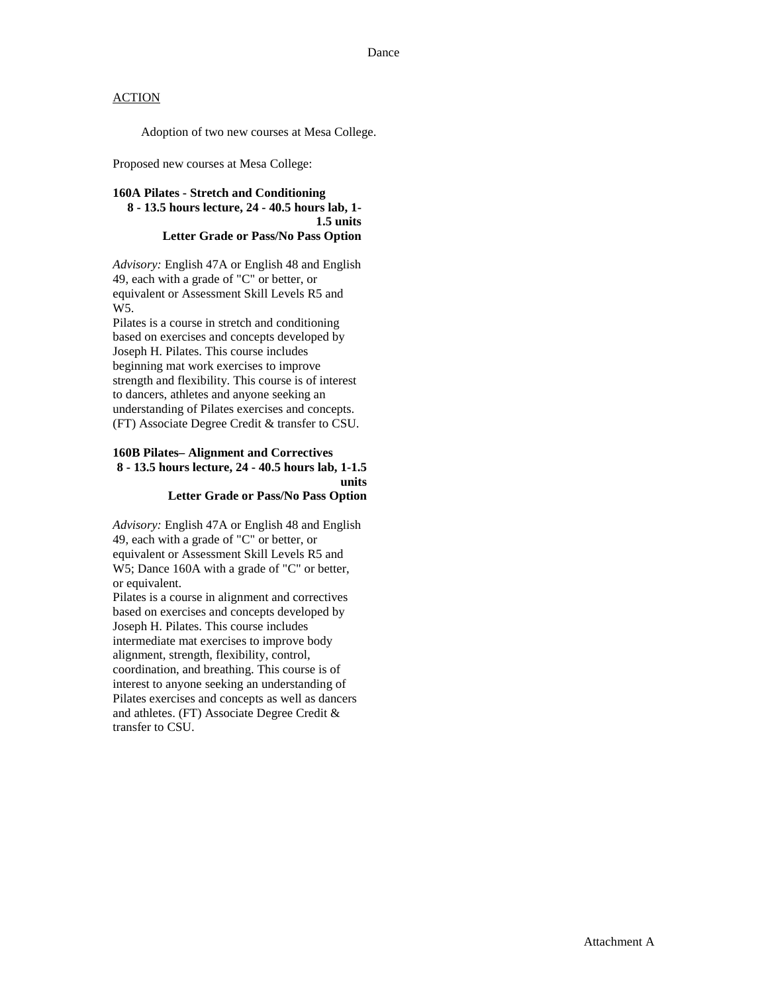Adoption of two new courses at Mesa College.

Proposed new courses at Mesa College:

### **160A Pilates - Stretch and Conditioning 8 - 13.5 hours lecture, 24 - 40.5 hours lab, 1- 1.5 units Letter Grade or Pass/No Pass Option**

*Advisory:* English 47A or English 48 and English 49, each with a grade of "C" or better, or equivalent or Assessment Skill Levels R5 and W5.

Pilates is a course in stretch and conditioning based on exercises and concepts developed by Joseph H. Pilates. This course includes beginning mat work exercises to improve strength and flexibility. This course is of interest to dancers, athletes and anyone seeking an understanding of Pilates exercises and concepts. (FT) Associate Degree Credit & transfer to CSU.

### **160B Pilates– Alignment and Correctives 8 - 13.5 hours lecture, 24 - 40.5 hours lab, 1-1.5 units Letter Grade or Pass/No Pass Option**

*Advisory:* English 47A or English 48 and English 49, each with a grade of "C" or better, or equivalent or Assessment Skill Levels R5 and W5; Dance 160A with a grade of "C" or better, or equivalent.

Pilates is a course in alignment and correctives based on exercises and concepts developed by Joseph H. Pilates. This course includes intermediate mat exercises to improve body alignment, strength, flexibility, control, coordination, and breathing. This course is of interest to anyone seeking an understanding of Pilates exercises and concepts as well as dancers and athletes. (FT) Associate Degree Credit & transfer to CSU.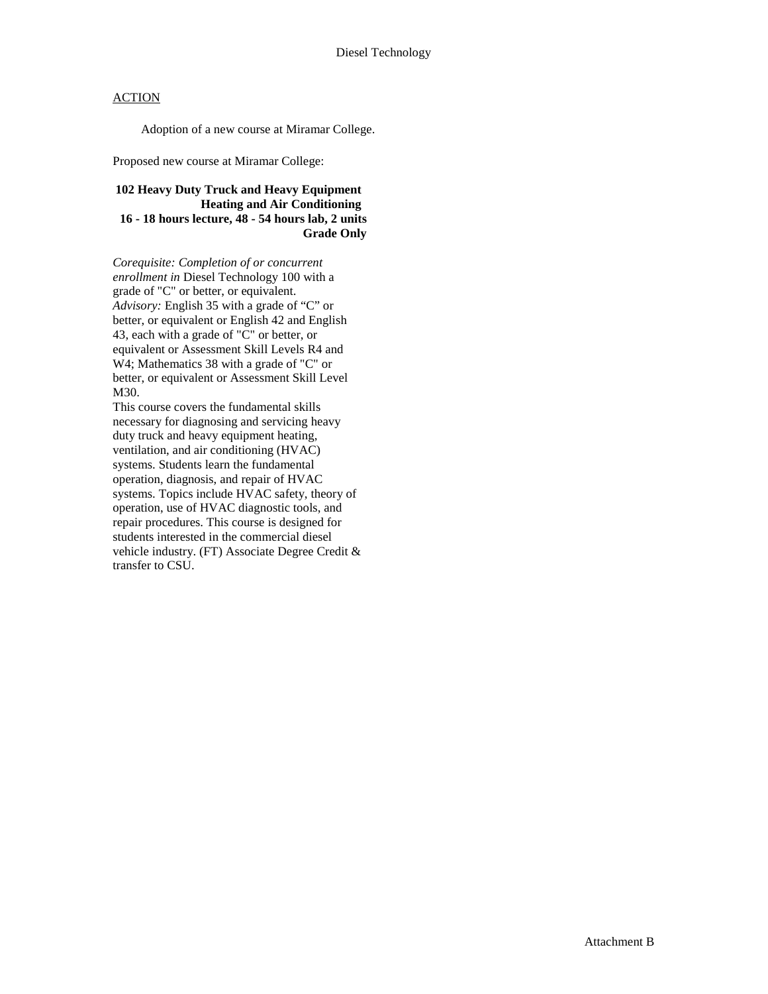Adoption of a new course at Miramar College.

Proposed new course at Miramar College:

### **102 Heavy Duty Truck and Heavy Equipment Heating and Air Conditioning 16 - 18 hours lecture, 48 - 54 hours lab, 2 units Grade Only**

*Corequisite: Completion of or concurrent enrollment in* Diesel Technology 100 with a grade of "C" or better, or equivalent. *Advisory:* English 35 with a grade of "C" or better, or equivalent or English 42 and English 43, each with a grade of "C" or better, or equivalent or Assessment Skill Levels R4 and W4; Mathematics 38 with a grade of "C" or better, or equivalent or Assessment Skill Level M30.

This course covers the fundamental skills necessary for diagnosing and servicing heavy duty truck and heavy equipment heating, ventilation, and air conditioning (HVAC) systems. Students learn the fundamental operation, diagnosis, and repair of HVAC systems. Topics include HVAC safety, theory of operation, use of HVAC diagnostic tools, and repair procedures. This course is designed for students interested in the commercial diesel vehicle industry. (FT) Associate Degree Credit & transfer to CSU.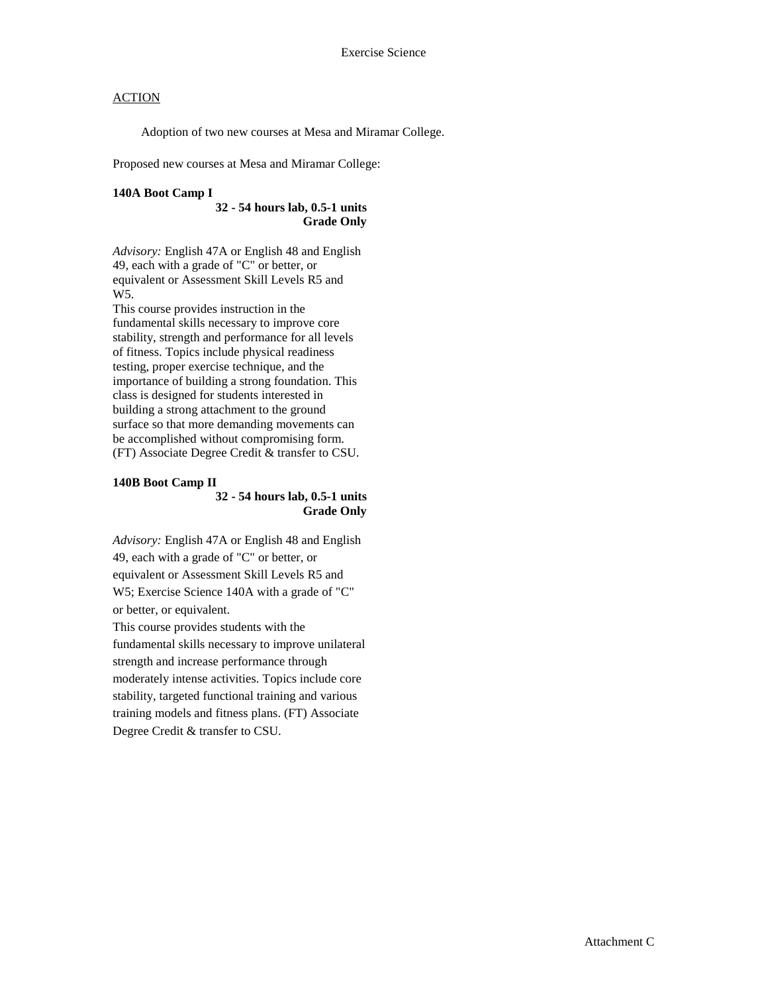Adoption of two new courses at Mesa and Miramar College.

Proposed new courses at Mesa and Miramar College:

#### **140A Boot Camp I**

**32 - 54 hours lab, 0.5-1 units Grade Only**

*Advisory:* English 47A or English 48 and English 49, each with a grade of "C" or better, or equivalent or Assessment Skill Levels R5 and W5.

This course provides instruction in the fundamental skills necessary to improve core stability, strength and performance for all levels of fitness. Topics include physical readiness testing, proper exercise technique, and the importance of building a strong foundation. This class is designed for students interested in building a strong attachment to the ground surface so that more demanding movements can be accomplished without compromising form. (FT) Associate Degree Credit & transfer to CSU.

#### **140B Boot Camp II**

#### **32 - 54 hours lab, 0.5-1 units Grade Only**

*Advisory:* English 47A or English 48 and English 49, each with a grade of "C" or better, or equivalent or Assessment Skill Levels R5 and W5; Exercise Science 140A with a grade of "C" or better, or equivalent. This course provides students with the fundamental skills necessary to improve unilateral strength and increase performance through moderately intense activities. Topics include core stability, targeted functional training and various training models and fitness plans. (FT) Associate Degree Credit & transfer to CSU.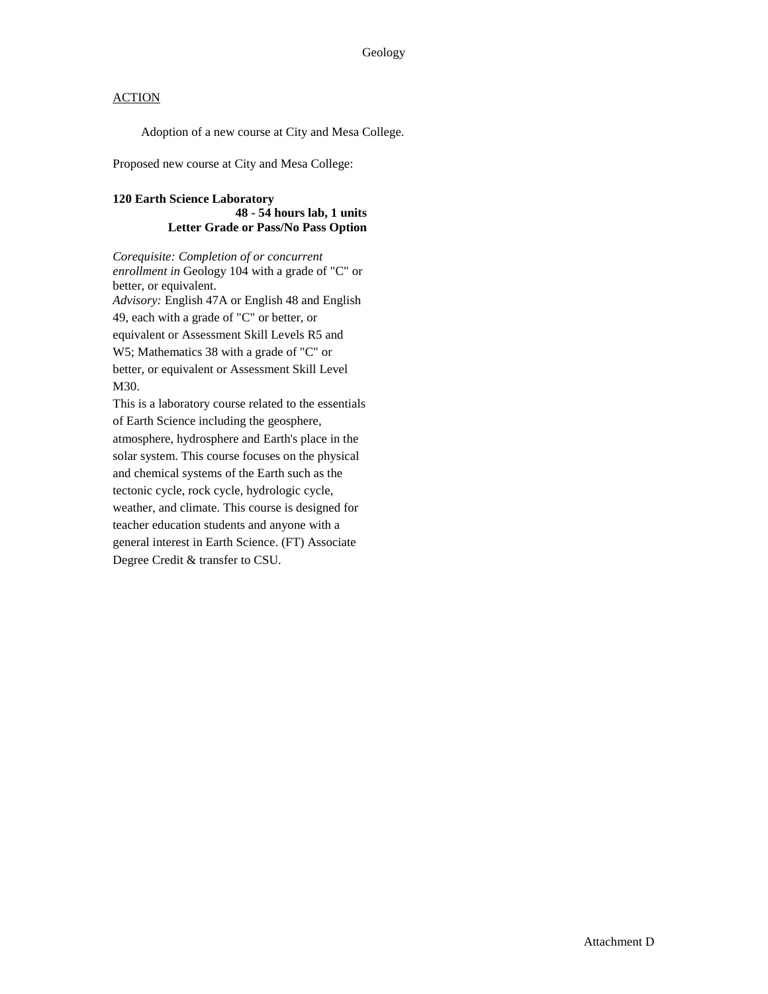Adoption of a new course at City and Mesa College.

Proposed new course at City and Mesa College:

### **120 Earth Science Laboratory 48 - 54 hours lab, 1 units Letter Grade or Pass/No Pass Option**

*Corequisite: Completion of or concurrent enrollment in* Geology 104 with a grade of "C" or better, or equivalent. *Advisory:* English 47A or English 48 and English 49, each with a grade of "C" or better, or equivalent or Assessment Skill Levels R5 and W5; Mathematics 38 with a grade of "C" or better, or equivalent or Assessment Skill Level M30.

This is a laboratory course related to the essentials of Earth Science including the geosphere, atmosphere, hydrosphere and Earth's place in the solar system. This course focuses on the physical and chemical systems of the Earth such as the tectonic cycle, rock cycle, hydrologic cycle, weather, and climate. This course is designed for teacher education students and anyone with a general interest in Earth Science. (FT) Associate Degree Credit & transfer to CSU.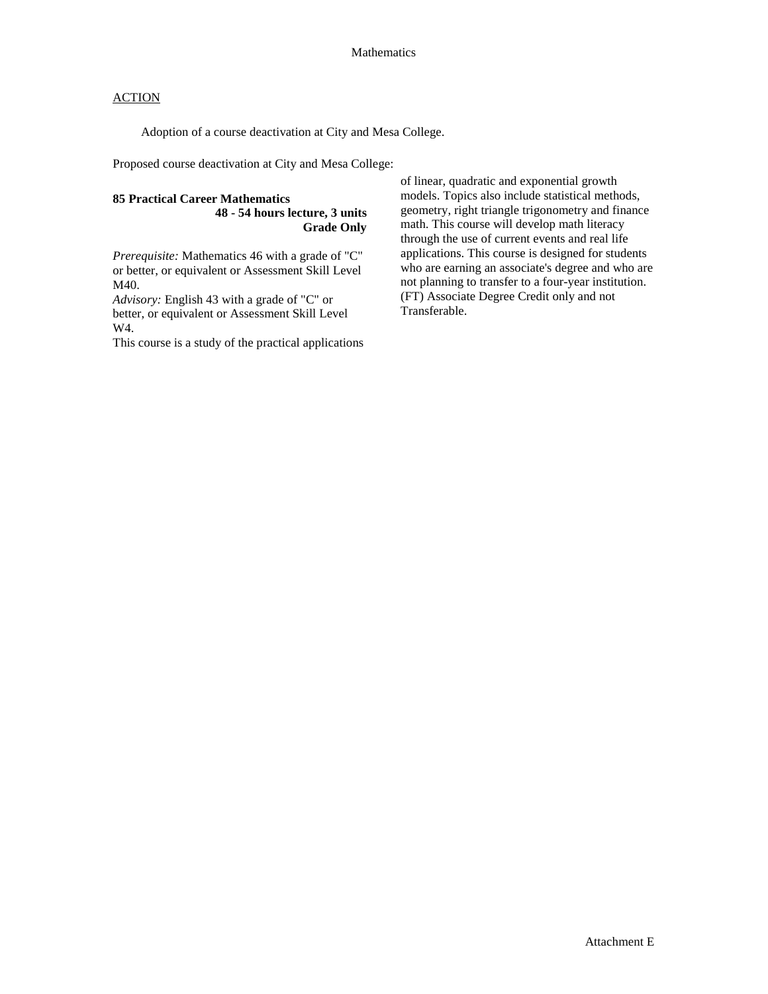Adoption of a course deactivation at City and Mesa College.

Proposed course deactivation at City and Mesa College:

#### **85 Practical Career Mathematics 48 - 54 hours lecture, 3 units Grade Only**

*Prerequisite:* Mathematics 46 with a grade of "C" or better, or equivalent or Assessment Skill Level M40.

*Advisory:* English 43 with a grade of "C" or better, or equivalent or Assessment Skill Level W4.

This course is a study of the practical applications

of linear, quadratic and exponential growth models. Topics also include statistical methods, geometry, right triangle trigonometry and finance math. This course will develop math literacy through the use of current events and real life applications. This course is designed for students who are earning an associate's degree and who are not planning to transfer to a four-year institution. (FT) Associate Degree Credit only and not Transferable.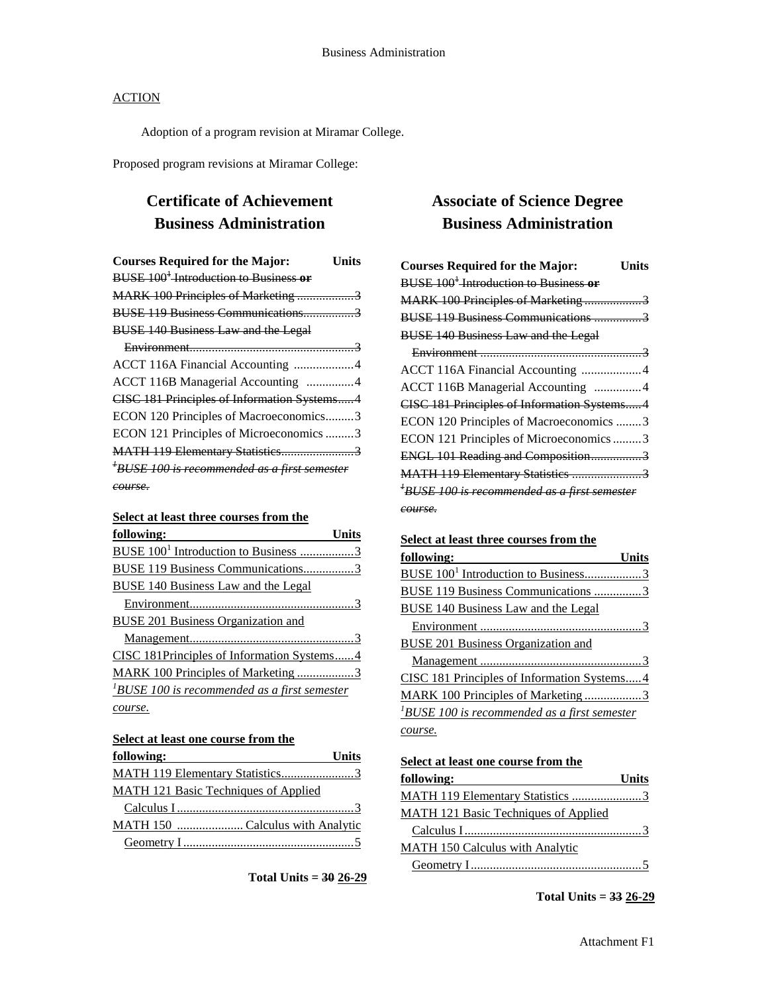Adoption of a program revision at Miramar College.

Proposed program revisions at Miramar College:

## **Certificate of Achievement Business Administration**

| <b>Courses Required for the Major:</b><br>Units          |
|----------------------------------------------------------|
| BUSE 100 <sup>+</sup> -Introduction to Business or       |
| MARK 100 Principles of Marketing 3                       |
| BUSE 119 Business Communications3                        |
| <b>BUSE 140 Business Law and the Legal</b>               |
|                                                          |
| ACCT 116A Financial Accounting 4                         |
| ACCT 116B Managerial Accounting 4                        |
| CISC 181 Principles of Information Systems4              |
| ECON 120 Principles of Macroeconomics3                   |
| ECON 121 Principles of Microeconomics 3                  |
| MATH 119 Elementary Statistics3                          |
| <sup>+</sup> BUSE 100 is recommended as a first semester |
| course.                                                  |

### **Select at least three courses from the**

| following:                                       |
|--------------------------------------------------|
| BUSE 100 <sup>1</sup> Introduction to Business 3 |
| <b>BUSE 119 Business Communications3</b>         |
| BUSE 140 Business Law and the Legal              |
|                                                  |
| BUSE 201 Business Organization and               |
|                                                  |
| CISC 181Principles of Information Systems4       |
| MARK 100 Principles of Marketing 3               |
| $1$ BUSE 100 is recommended as a first semester  |
| course.                                          |

## **Select at least one course from the**

| following:                                  | <b>Units</b> |
|---------------------------------------------|--------------|
|                                             |              |
| <b>MATH 121 Basic Techniques of Applied</b> |              |
|                                             |              |
| MATH 150 Calculus with Analytic             |              |
|                                             |              |

**Total Units = 30 26-29**

## **Associate of Science Degree Business Administration**

| <b>Courses Required for the Major:</b>            | <b>Units</b> |
|---------------------------------------------------|--------------|
| BUSE 100 <sup>1</sup> Introduction to Business or |              |
| MARK 100 Principles of Marketing3                 |              |
| BUSE 119 Business Communications 3                |              |
| <b>BUSE 140 Business Law and the Legal</b>        |              |
|                                                   |              |
| ACCT 116A Financial Accounting 4                  |              |
| ACCT 116B Managerial Accounting 4                 |              |
| CISC 181 Principles of Information Systems4       |              |
| ECON 120 Principles of Macroeconomics 3           |              |
| ECON 121 Principles of Microeconomics 3           |              |
| ENGL 101 Reading and Composition3                 |              |
| MATH 119 Elementary Statistics 3                  |              |
| $^4$ BUSE 100 is recommended as a first semester  |              |
| <del>course.</del>                                |              |

## **Select at least three courses from the**

| following:                                           | Units |
|------------------------------------------------------|-------|
| BUSE 100 <sup>1</sup> Introduction to Business3      |       |
| <b>BUSE 119 Business Communications 3</b>            |       |
| BUSE 140 Business Law and the Legal                  |       |
|                                                      |       |
| <b>BUSE 201 Business Organization and</b>            |       |
|                                                      |       |
| CISC 181 Principles of Information Systems4          |       |
| MARK 100 Principles of Marketing3                    |       |
| ${}^{1}$ BUSE 100 is recommended as a first semester |       |
| course.                                              |       |

**Select at least one course from the** 

| following:                                  | <b>Units</b> |
|---------------------------------------------|--------------|
| MATH 119 Elementary Statistics 3            |              |
| <b>MATH 121 Basic Techniques of Applied</b> |              |
|                                             |              |
| MATH 150 Calculus with Analytic             |              |
|                                             |              |

**Total Units = 33 26-29**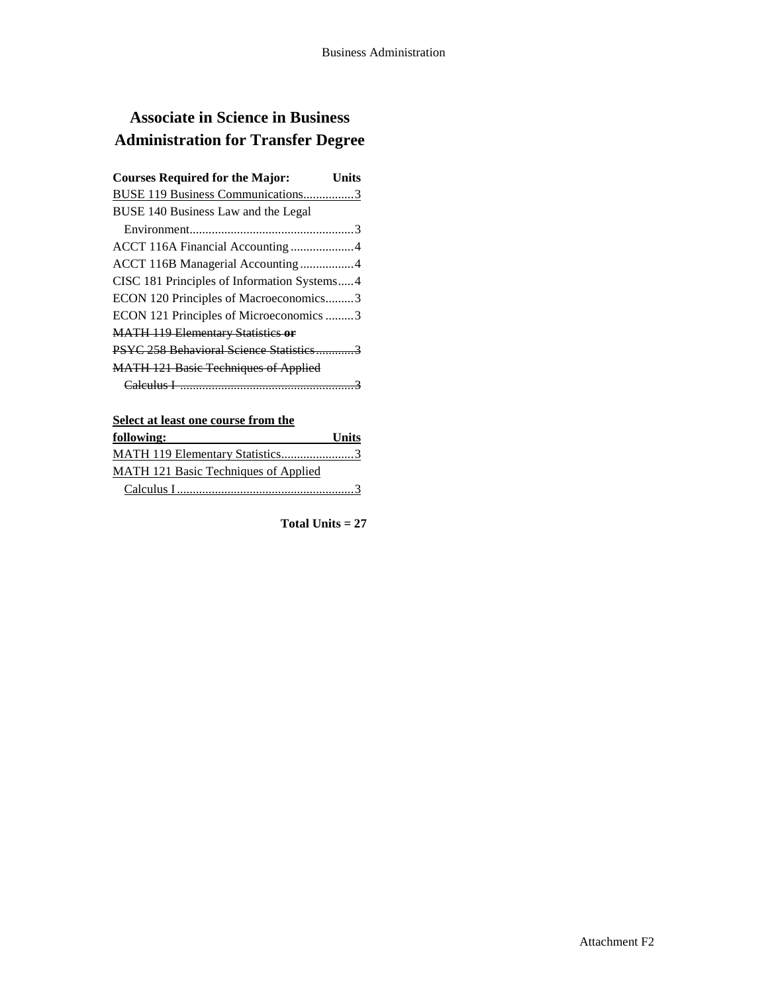# **Associate in Science in Business Administration for Transfer Degree**

| <b>Courses Required for the Major:</b>      | Units |
|---------------------------------------------|-------|
| BUSE 119 Business Communications3           |       |
| BUSE 140 Business Law and the Legal         |       |
|                                             |       |
| ACCT 116A Financial Accounting 4            |       |
| ACCT 116B Managerial Accounting4            |       |
| CISC 181 Principles of Information Systems4 |       |
| ECON 120 Principles of Macroeconomics3      |       |
| ECON 121 Principles of Microeconomics 3     |       |
| <b>MATH 119 Elementary Statistics or</b>    |       |
| PSYC 258 Behavioral Science Statistics3     |       |
| <b>MATH 121 Basic Techniques of Applied</b> |       |
|                                             |       |

## **Select at least one course from the**

| following:                                  | <b>Units</b> |
|---------------------------------------------|--------------|
| MATH 119 Elementary Statistics3             |              |
| <b>MATH 121 Basic Techniques of Applied</b> |              |
|                                             |              |

**Total Units = 27**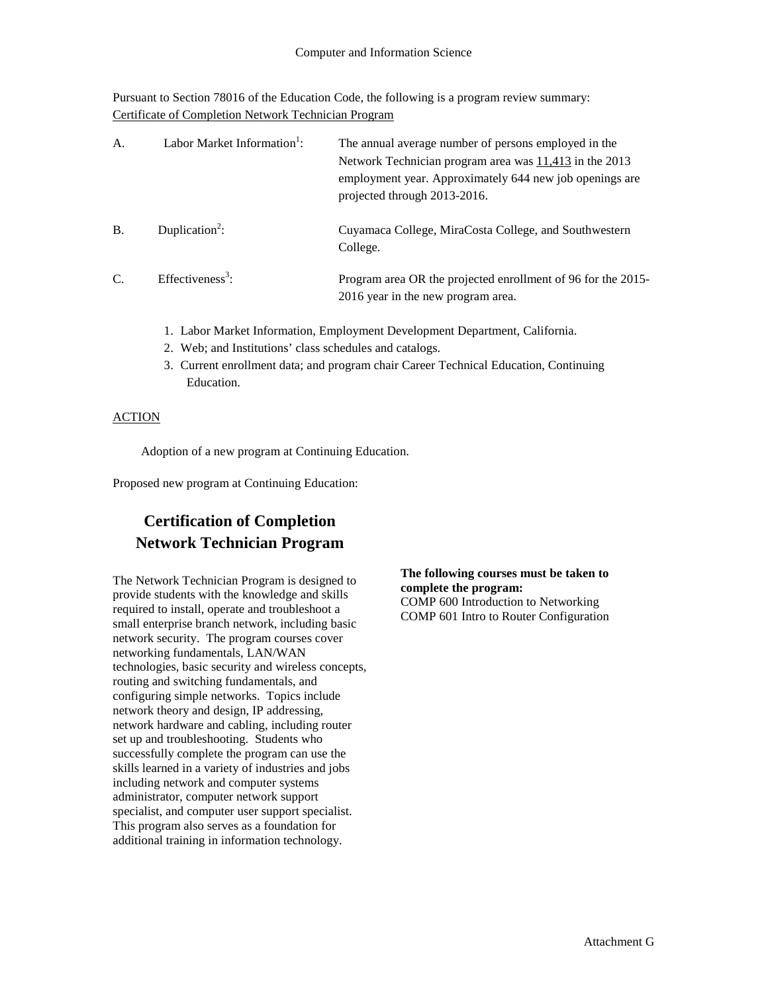Pursuant to Section 78016 of the Education Code, the following is a program review summary: Certificate of Completion Network Technician Program

| A.            | Labor Market Information <sup>1</sup> : | The annual average number of persons employed in the<br>Network Technician program area was 11,413 in the 2013<br>employment year. Approximately 644 new job openings are<br>projected through 2013-2016. |
|---------------|-----------------------------------------|-----------------------------------------------------------------------------------------------------------------------------------------------------------------------------------------------------------|
| <b>B.</b>     | Duplication <sup>2</sup> :              | Cuyamaca College, MiraCosta College, and Southwestern<br>College.                                                                                                                                         |
| $\mathcal{C}$ | Effectiveness <sup>3</sup> :            | Program area OR the projected enrollment of 96 for the 2015-<br>2016 year in the new program area.                                                                                                        |

- 1. Labor Market Information, Employment Development Department, California.
- 2. Web; and Institutions' class schedules and catalogs.
- 3. Current enrollment data; and program chair Career Technical Education, Continuing Education.

### ACTION

Adoption of a new program at Continuing Education.

Proposed new program at Continuing Education:

## **Certification of Completion Network Technician Program**

The Network Technician Program is designed to provide students with the knowledge and skills required to install, operate and troubleshoot a small enterprise branch network, including basic network security. The program courses cover networking fundamentals, LAN/WAN technologies, basic security and wireless concepts, routing and switching fundamentals, and configuring simple networks. Topics include network theory and design, IP addressing, network hardware and cabling, including router set up and troubleshooting. Students who successfully complete the program can use the skills learned in a variety of industries and jobs including network and computer systems administrator, computer network support specialist, and computer user support specialist. This program also serves as a foundation for additional training in information technology.

**The following courses must be taken to complete the program:**

COMP 600 Introduction to Networking COMP 601 Intro to Router Configuration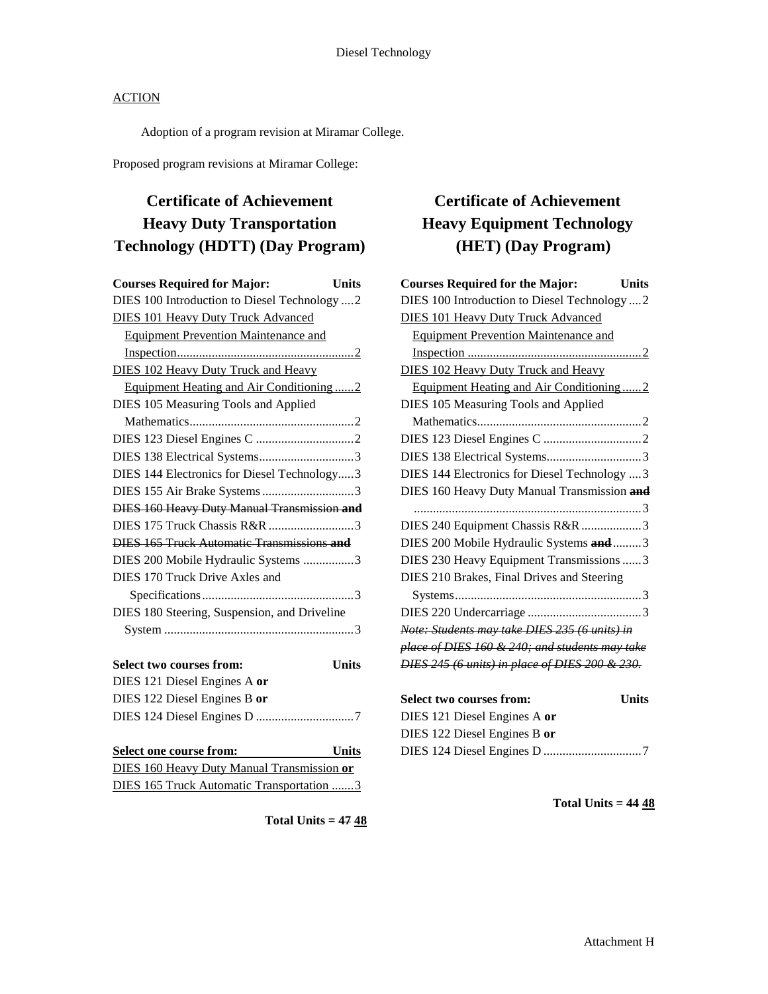Adoption of a program revision at Miramar College.

Proposed program revisions at Miramar College:

# **Certificate of Achievement Heavy Duty Transportation Technology (HDTT) (Day Program)**

| <b>Courses Required for Major:</b><br><b>Units</b> |  |
|----------------------------------------------------|--|
| DIES 100 Introduction to Diesel Technology  2      |  |
| <b>DIES 101 Heavy Duty Truck Advanced</b>          |  |
| <b>Equipment Prevention Maintenance and</b>        |  |
|                                                    |  |
| <b>DIES 102 Heavy Duty Truck and Heavy</b>         |  |
| Equipment Heating and Air Conditioning2            |  |
| DIES 105 Measuring Tools and Applied               |  |
|                                                    |  |
|                                                    |  |
| DIES 138 Electrical Systems3                       |  |
| DIES 144 Electronics for Diesel Technology3        |  |
| DIES 155 Air Brake Systems3                        |  |
| <b>DIES 160 Heavy Duty Manual Transmission and</b> |  |
|                                                    |  |
| <b>DIES 165 Truck Automatic Transmissions and</b>  |  |
| DIES 200 Mobile Hydraulic Systems 3                |  |
| DIES 170 Truck Drive Axles and                     |  |
|                                                    |  |
| DIES 180 Steering, Suspension, and Driveline       |  |
|                                                    |  |
|                                                    |  |
| <b>Units</b><br>Select two courses from:           |  |
| DIES 121 Diesel Engines A or                       |  |
| DIES 122 Diesel Engines B or                       |  |
|                                                    |  |
|                                                    |  |
| Select one course from: Units                      |  |

| Select one course from:                    | Units |
|--------------------------------------------|-------|
| DIES 160 Heavy Duty Manual Transmission or |       |

|  | DIES 160 Heavy Duty Manual Transmission or |  |  |  |
|--|--------------------------------------------|--|--|--|
|  | DIES 165 Truck Automatic Transportation 3  |  |  |  |

# **Certificate of Achievement Heavy Equipment Technology (HET) (Day Program)**

| <b>Courses Required for the Major:</b><br>Units |  |
|-------------------------------------------------|--|
| DIES 100 Introduction to Diesel Technology  2   |  |
| <b>DIES 101 Heavy Duty Truck Advanced</b>       |  |
| <b>Equipment Prevention Maintenance and</b>     |  |
|                                                 |  |
| <b>DIES 102 Heavy Duty Truck and Heavy</b>      |  |
| Equipment Heating and Air Conditioning2         |  |
| DIES 105 Measuring Tools and Applied            |  |
|                                                 |  |
|                                                 |  |
|                                                 |  |
| DIES 144 Electronics for Diesel Technology  3   |  |
| DIES 160 Heavy Duty Manual Transmission and     |  |
|                                                 |  |
| DIES 240 Equipment Chassis R&R 3                |  |
| DIES 200 Mobile Hydraulic Systems and  3        |  |
| DIES 230 Heavy Equipment Transmissions  3       |  |
| DIES 210 Brakes, Final Drives and Steering      |  |
|                                                 |  |
|                                                 |  |
| Note: Students may take DIES 235 (6 units) in   |  |
| place of DIES 160 & 240; and students may take  |  |
| DIES 245 (6 units) in place of DIES 200 & 230.  |  |
|                                                 |  |

| <b>Select two courses from:</b> | <b>Units</b> |
|---------------------------------|--------------|
| DIES 121 Diesel Engines A or    |              |
| DIES 122 Diesel Engines B or    |              |
|                                 |              |

**Total Units = 44 48**

**Total Units = 47 48**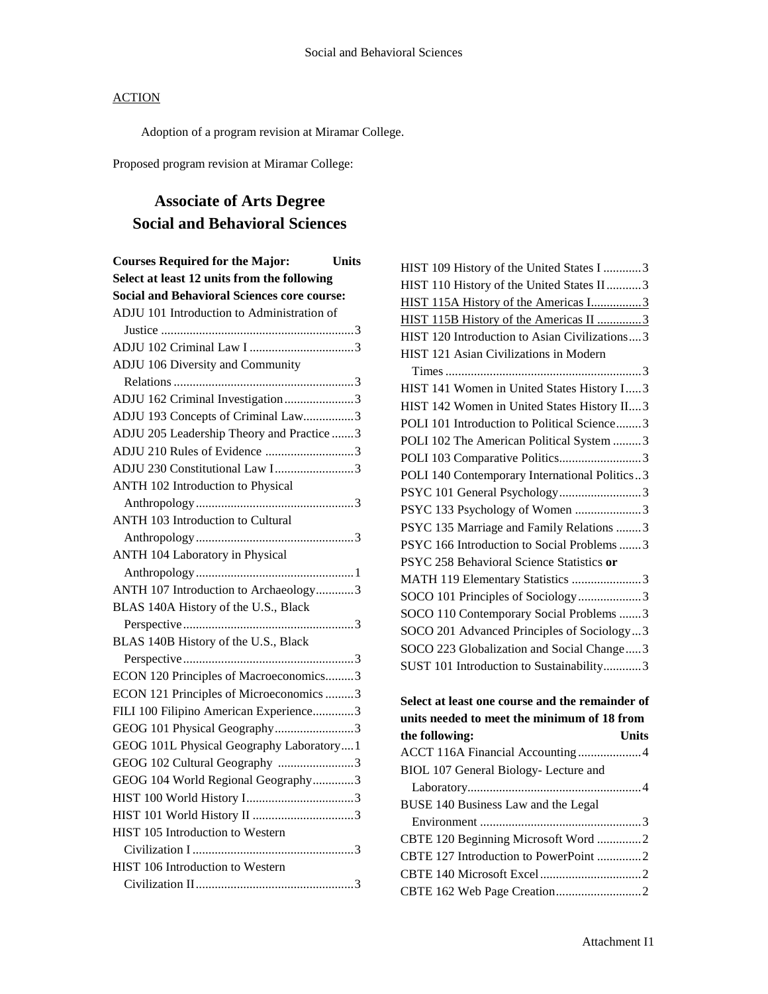Adoption of a program revision at Miramar College.

Proposed program revision at Miramar College:

# **Associate of Arts Degree Social and Behavioral Sciences**

| <b>Courses Required for the Major:</b><br><b>Units</b> |  |  |
|--------------------------------------------------------|--|--|
| Select at least 12 units from the following            |  |  |
| <b>Social and Behavioral Sciences core course:</b>     |  |  |
| ADJU 101 Introduction to Administration of             |  |  |
|                                                        |  |  |
|                                                        |  |  |
| ADJU 106 Diversity and Community                       |  |  |
|                                                        |  |  |
| ADJU 162 Criminal Investigation3                       |  |  |
| ADJU 193 Concepts of Criminal Law3                     |  |  |
| ADJU 205 Leadership Theory and Practice 3              |  |  |
| ADJU 210 Rules of Evidence 3                           |  |  |
| ADJU 230 Constitutional Law I3                         |  |  |
| <b>ANTH 102 Introduction to Physical</b>               |  |  |
|                                                        |  |  |
| <b>ANTH 103 Introduction to Cultural</b>               |  |  |
|                                                        |  |  |
| ANTH 104 Laboratory in Physical                        |  |  |
|                                                        |  |  |
| ANTH 107 Introduction to Archaeology3                  |  |  |
| BLAS 140A History of the U.S., Black                   |  |  |
|                                                        |  |  |
| BLAS 140B History of the U.S., Black                   |  |  |
|                                                        |  |  |
| ECON 120 Principles of Macroeconomics3                 |  |  |
| ECON 121 Principles of Microeconomics 3                |  |  |
| FILI 100 Filipino American Experience3                 |  |  |
| GEOG 101 Physical Geography3                           |  |  |
| GEOG 101L Physical Geography Laboratory1               |  |  |
| GEOG 102 Cultural Geography 3                          |  |  |
| GEOG 104 World Regional Geography3                     |  |  |
|                                                        |  |  |
|                                                        |  |  |
| HIST 105 Introduction to Western                       |  |  |
|                                                        |  |  |
| HIST 106 Introduction to Western                       |  |  |
|                                                        |  |  |

| HIST 109 History of the United States I 3      |  |
|------------------------------------------------|--|
| HIST 110 History of the United States II3      |  |
| HIST 115A History of the Americas I3           |  |
| HIST 115B History of the Americas II 3         |  |
| HIST 120 Introduction to Asian Civilizations 3 |  |
| HIST 121 Asian Civilizations in Modern         |  |
|                                                |  |
| HIST 141 Women in United States History I3     |  |
| HIST 142 Women in United States History II3    |  |
| POLI 101 Introduction to Political Science3    |  |
| POLI 102 The American Political System 3       |  |
|                                                |  |
| POLI 140 Contemporary International Politics3  |  |
| PSYC 101 General Psychology3                   |  |
| PSYC 133 Psychology of Women 3                 |  |
| PSYC 135 Marriage and Family Relations 3       |  |
| PSYC 166 Introduction to Social Problems 3     |  |
| PSYC 258 Behavioral Science Statistics or      |  |
| MATH 119 Elementary Statistics 3               |  |
| SOCO 101 Principles of Sociology3              |  |
| SOCO 110 Contemporary Social Problems 3        |  |
| SOCO 201 Advanced Principles of Sociology3     |  |
| SOCO 223 Globalization and Social Change3      |  |
| SUST 101 Introduction to Sustainability3       |  |
|                                                |  |

## **Select at least one course and the remainder of units needed to meet the minimum of 18 from the following: Units**

| ACCT 116A Financial Accounting4       |  |
|---------------------------------------|--|
| BIOL 107 General Biology- Lecture and |  |
|                                       |  |
| BUSE 140 Business Law and the Legal   |  |
|                                       |  |
| CBTE 120 Beginning Microsoft Word 2   |  |
|                                       |  |
|                                       |  |
|                                       |  |
|                                       |  |